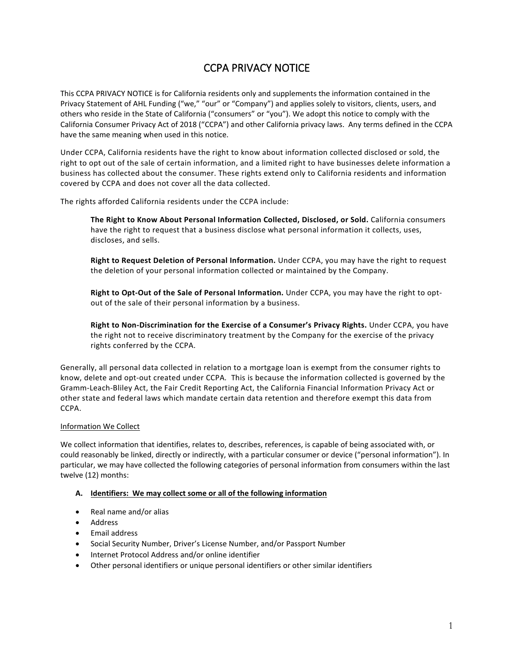# CCPA PRIVACY NOTICE

This CCPA PRIVACY NOTICE is for California residents only and supplements the information contained in the Privacy Statement of AHL Funding ("we," "our" or "Company") and applies solely to visitors, clients, users, and others who reside in the State of California ("consumers" or "you"). We adopt this notice to comply with the California Consumer Privacy Act of 2018 ("CCPA") and other California privacy laws. Any terms defined in the CCPA have the same meaning when used in this notice.

Under CCPA, California residents have the right to know about information collected disclosed or sold, the right to opt out of the sale of certain information, and a limited right to have businesses delete information a business has collected about the consumer. These rights extend only to California residents and information covered by CCPA and does not cover all the data collected.

The rights afforded California residents under the CCPA include:

**The Right to Know About Personal Information Collected, Disclosed, or Sold.** California consumers have the right to request that a business disclose what personal information it collects, uses, discloses, and sells.

**Right to Request Deletion of Personal Information.** Under CCPA, you may have the right to request the deletion of your personal information collected or maintained by the Company.

**Right to Opt-Out of the Sale of Personal Information.** Under CCPA, you may have the right to optout of the sale of their personal information by a business.

**Right to Non-Discrimination for the Exercise of a Consumer's Privacy Rights.** Under CCPA, you have the right not to receive discriminatory treatment by the Company for the exercise of the privacy rights conferred by the CCPA.

Generally, all personal data collected in relation to a mortgage loan is exempt from the consumer rights to know, delete and opt-out created under CCPA*.* This is because the information collected is governed by the Gramm-Leach-Bliley Act, the Fair Credit Reporting Act, the California Financial Information Privacy Act or other state and federal laws which mandate certain data retention and therefore exempt this data from CCPA.

# Information We Collect

We collect information that identifies, relates to, describes, references, is capable of being associated with, or could reasonably be linked, directly or indirectly, with a particular consumer or device ("personal information"). In particular, we may have collected the following categories of personal information from consumers within the last twelve (12) months:

# **A. Identifiers: We may collect some or all of the following information**

- Real name and/or alias
- **Address**
- Email address
- Social Security Number, Driver's License Number, and/or Passport Number
- Internet Protocol Address and/or online identifier
- Other personal identifiers or unique personal identifiers or other similar identifiers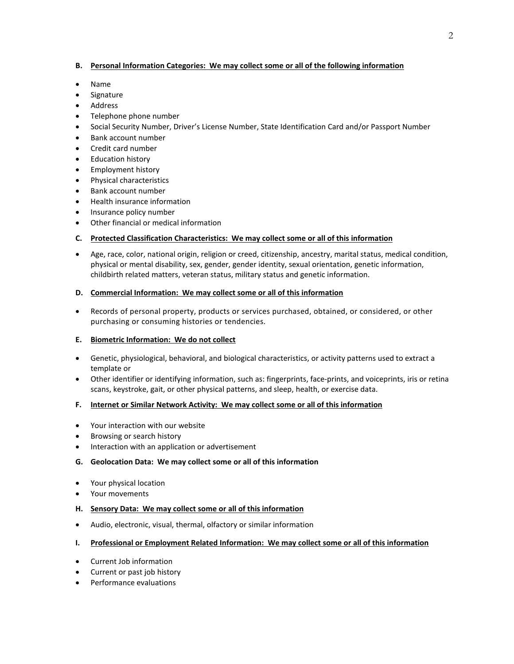#### **B. Personal Information Categories: We may collect some or all of the following information**

- Name
- Signature
- Address
- Telephone phone number
- Social Security Number, Driver's License Number, State Identification Card and/or Passport Number
- Bank account number
- Credit card number
- Education history
- Employment history
- Physical characteristics
- Bank account number
- Health insurance information
- Insurance policy number
- Other financial or medical information

## **C. Protected Classification Characteristics: We may collect some or all of this information**

• Age, race, color, national origin, religion or creed, citizenship, ancestry, marital status, medical condition, physical or mental disability, sex, gender, gender identity, sexual orientation, genetic information, childbirth related matters, veteran status, military status and genetic information.

## **D. Commercial Information: We may collect some or all of this information**

• Records of personal property, products or services purchased, obtained, or considered, or other purchasing or consuming histories or tendencies.

## **E. Biometric Information: We do not collect**

- Genetic, physiological, behavioral, and biological characteristics, or activity patterns used to extract a template or
- Other identifier or identifying information, such as: fingerprints, face-prints, and voiceprints, iris or retina scans, keystroke, gait, or other physical patterns, and sleep, health, or exercise data.

## **F. Internet or Similar Network Activity: We may collect some or all of this information**

- Your interaction with our website
- Browsing or search history
- Interaction with an application or advertisement

#### **G. Geolocation Data: We may collect some or all of this information**

- Your physical location
- Your movements

#### **H. Sensory Data: We may collect some or all of this information**

• Audio, electronic, visual, thermal, olfactory or similar information

## **I. Professional or Employment Related Information: We may collect some or all of this information**

- Current Job information
- Current or past job history
- Performance evaluations